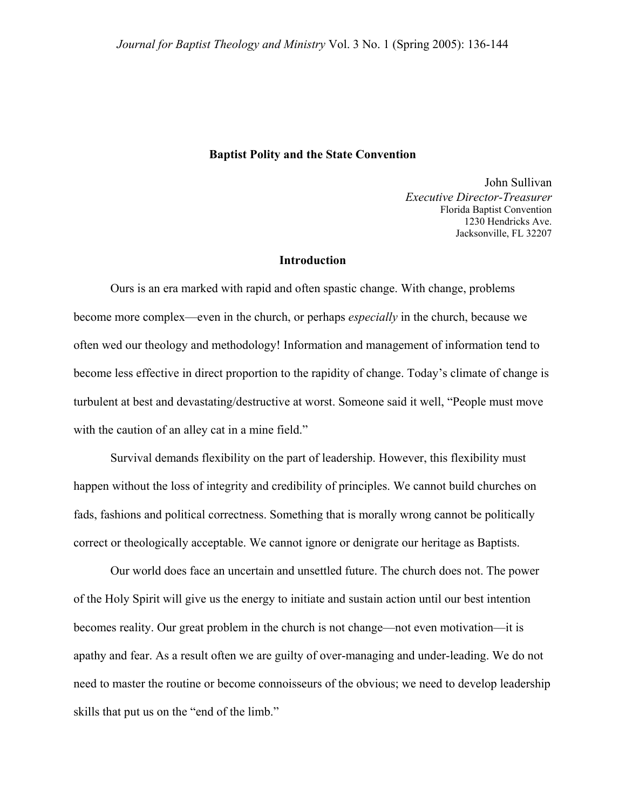#### **Baptist Polity and the State Convention**

John Sullivan *Executive Director-Treasurer*  Florida Baptist Convention 1230 Hendricks Ave. Jacksonville, FL 32207

## **Introduction**

Ours is an era marked with rapid and often spastic change. With change, problems become more complex—even in the church, or perhaps *especially* in the church, because we often wed our theology and methodology! Information and management of information tend to become less effective in direct proportion to the rapidity of change. Today's climate of change is turbulent at best and devastating/destructive at worst. Someone said it well, "People must move with the caution of an alley cat in a mine field."

 Survival demands flexibility on the part of leadership. However, this flexibility must happen without the loss of integrity and credibility of principles. We cannot build churches on fads, fashions and political correctness. Something that is morally wrong cannot be politically correct or theologically acceptable. We cannot ignore or denigrate our heritage as Baptists.

 Our world does face an uncertain and unsettled future. The church does not. The power of the Holy Spirit will give us the energy to initiate and sustain action until our best intention becomes reality. Our great problem in the church is not change—not even motivation—it is apathy and fear. As a result often we are guilty of over-managing and under-leading. We do not need to master the routine or become connoisseurs of the obvious; we need to develop leadership skills that put us on the "end of the limb."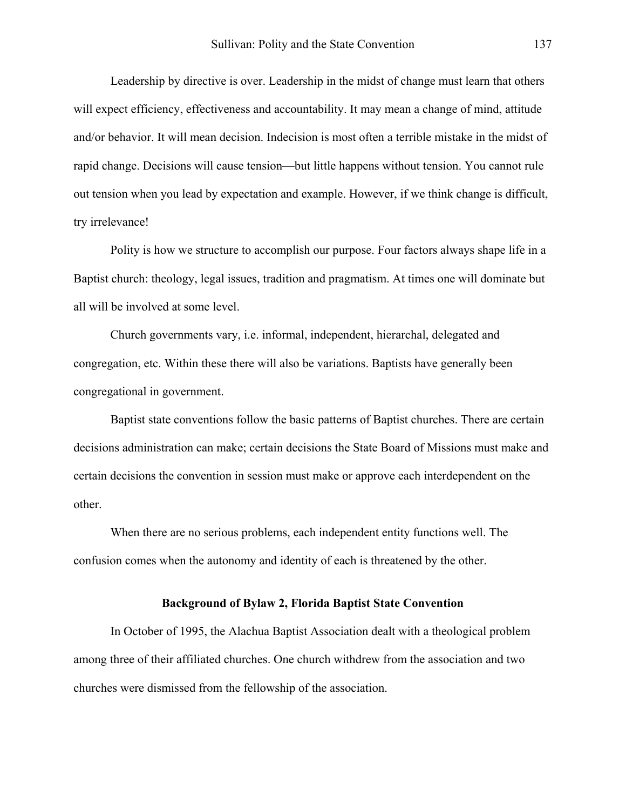Leadership by directive is over. Leadership in the midst of change must learn that others will expect efficiency, effectiveness and accountability. It may mean a change of mind, attitude and/or behavior. It will mean decision. Indecision is most often a terrible mistake in the midst of rapid change. Decisions will cause tension—but little happens without tension. You cannot rule out tension when you lead by expectation and example. However, if we think change is difficult, try irrelevance!

 Polity is how we structure to accomplish our purpose. Four factors always shape life in a Baptist church: theology, legal issues, tradition and pragmatism. At times one will dominate but all will be involved at some level.

 Church governments vary, i.e. informal, independent, hierarchal, delegated and congregation, etc. Within these there will also be variations. Baptists have generally been congregational in government.

 Baptist state conventions follow the basic patterns of Baptist churches. There are certain decisions administration can make; certain decisions the State Board of Missions must make and certain decisions the convention in session must make or approve each interdependent on the other.

 When there are no serious problems, each independent entity functions well. The confusion comes when the autonomy and identity of each is threatened by the other.

### **Background of Bylaw 2, Florida Baptist State Convention**

 In October of 1995, the Alachua Baptist Association dealt with a theological problem among three of their affiliated churches. One church withdrew from the association and two churches were dismissed from the fellowship of the association.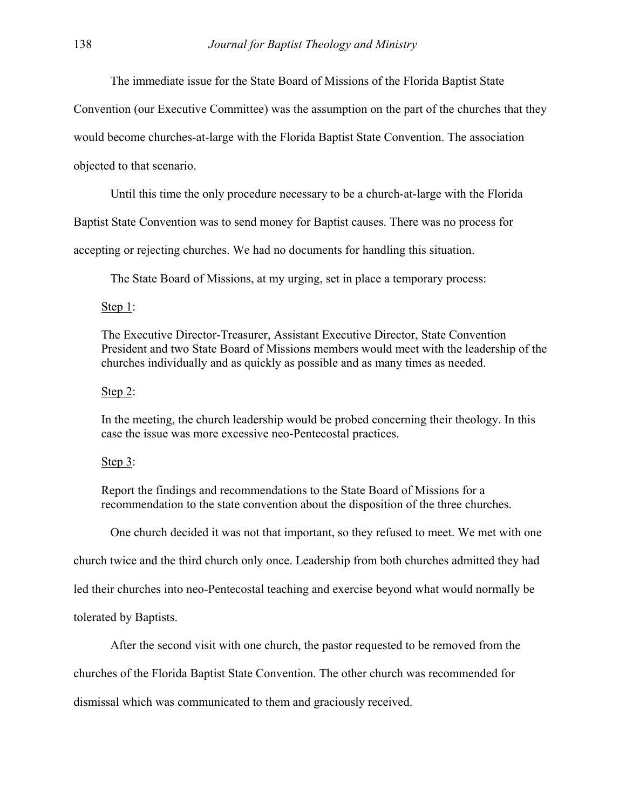The immediate issue for the State Board of Missions of the Florida Baptist State

Convention (our Executive Committee) was the assumption on the part of the churches that they

would become churches-at-large with the Florida Baptist State Convention. The association

objected to that scenario.

Until this time the only procedure necessary to be a church-at-large with the Florida

Baptist State Convention was to send money for Baptist causes. There was no process for

accepting or rejecting churches. We had no documents for handling this situation.

The State Board of Missions, at my urging, set in place a temporary process:

Step 1:

 The Executive Director-Treasurer, Assistant Executive Director, State Convention President and two State Board of Missions members would meet with the leadership of the churches individually and as quickly as possible and as many times as needed.

#### Step 2:

 In the meeting, the church leadership would be probed concerning their theology. In this case the issue was more excessive neo-Pentecostal practices.

#### Step 3:

 Report the findings and recommendations to the State Board of Missions for a recommendation to the state convention about the disposition of the three churches.

One church decided it was not that important, so they refused to meet. We met with one

church twice and the third church only once. Leadership from both churches admitted they had

led their churches into neo-Pentecostal teaching and exercise beyond what would normally be

tolerated by Baptists.

After the second visit with one church, the pastor requested to be removed from the

churches of the Florida Baptist State Convention. The other church was recommended for

dismissal which was communicated to them and graciously received.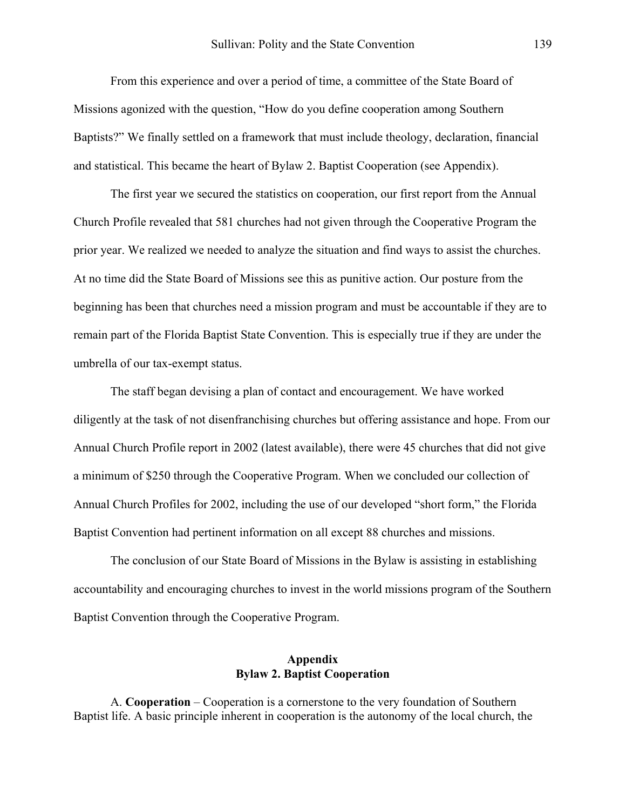From this experience and over a period of time, a committee of the State Board of Missions agonized with the question, "How do you define cooperation among Southern Baptists?" We finally settled on a framework that must include theology, declaration, financial and statistical. This became the heart of Bylaw 2. Baptist Cooperation (see Appendix).

The first year we secured the statistics on cooperation, our first report from the Annual Church Profile revealed that 581 churches had not given through the Cooperative Program the prior year. We realized we needed to analyze the situation and find ways to assist the churches. At no time did the State Board of Missions see this as punitive action. Our posture from the beginning has been that churches need a mission program and must be accountable if they are to remain part of the Florida Baptist State Convention. This is especially true if they are under the umbrella of our tax-exempt status.

 The staff began devising a plan of contact and encouragement. We have worked diligently at the task of not disenfranchising churches but offering assistance and hope. From our Annual Church Profile report in 2002 (latest available), there were 45 churches that did not give a minimum of \$250 through the Cooperative Program. When we concluded our collection of Annual Church Profiles for 2002, including the use of our developed "short form," the Florida Baptist Convention had pertinent information on all except 88 churches and missions.

 The conclusion of our State Board of Missions in the Bylaw is assisting in establishing accountability and encouraging churches to invest in the world missions program of the Southern Baptist Convention through the Cooperative Program.

## **Appendix Bylaw 2. Baptist Cooperation**

 A. **Cooperation** – Cooperation is a cornerstone to the very foundation of Southern Baptist life. A basic principle inherent in cooperation is the autonomy of the local church, the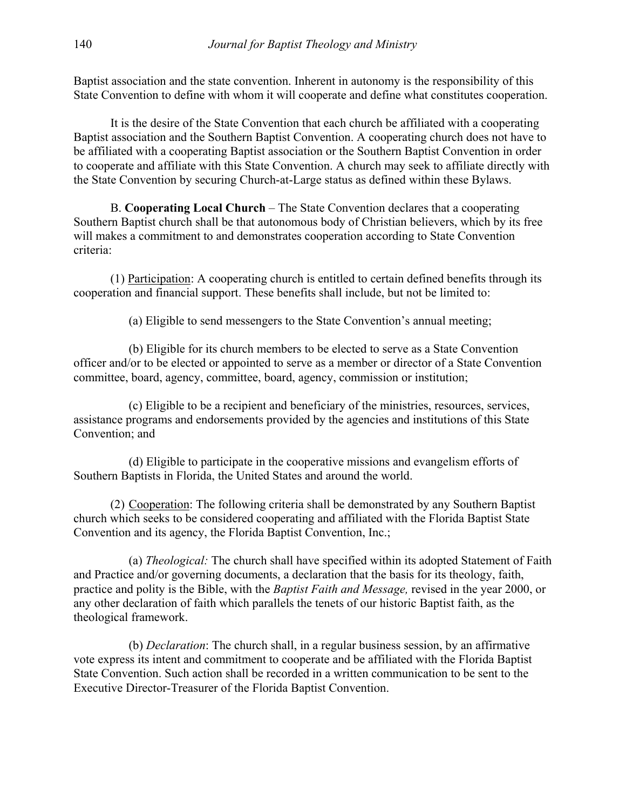Baptist association and the state convention. Inherent in autonomy is the responsibility of this State Convention to define with whom it will cooperate and define what constitutes cooperation.

 It is the desire of the State Convention that each church be affiliated with a cooperating Baptist association and the Southern Baptist Convention. A cooperating church does not have to be affiliated with a cooperating Baptist association or the Southern Baptist Convention in order to cooperate and affiliate with this State Convention. A church may seek to affiliate directly with the State Convention by securing Church-at-Large status as defined within these Bylaws.

 B. **Cooperating Local Church** – The State Convention declares that a cooperating Southern Baptist church shall be that autonomous body of Christian believers, which by its free will makes a commitment to and demonstrates cooperation according to State Convention criteria:

 (1) Participation: A cooperating church is entitled to certain defined benefits through its cooperation and financial support. These benefits shall include, but not be limited to:

(a) Eligible to send messengers to the State Convention's annual meeting;

 (b) Eligible for its church members to be elected to serve as a State Convention officer and/or to be elected or appointed to serve as a member or director of a State Convention committee, board, agency, committee, board, agency, commission or institution;

 (c) Eligible to be a recipient and beneficiary of the ministries, resources, services, assistance programs and endorsements provided by the agencies and institutions of this State Convention; and

 (d) Eligible to participate in the cooperative missions and evangelism efforts of Southern Baptists in Florida, the United States and around the world.

 (2) Cooperation: The following criteria shall be demonstrated by any Southern Baptist church which seeks to be considered cooperating and affiliated with the Florida Baptist State Convention and its agency, the Florida Baptist Convention, Inc.;

 (a) *Theological:* The church shall have specified within its adopted Statement of Faith and Practice and/or governing documents, a declaration that the basis for its theology, faith, practice and polity is the Bible, with the *Baptist Faith and Message,* revised in the year 2000, or any other declaration of faith which parallels the tenets of our historic Baptist faith, as the theological framework.

 (b) *Declaration*: The church shall, in a regular business session, by an affirmative vote express its intent and commitment to cooperate and be affiliated with the Florida Baptist State Convention. Such action shall be recorded in a written communication to be sent to the Executive Director-Treasurer of the Florida Baptist Convention.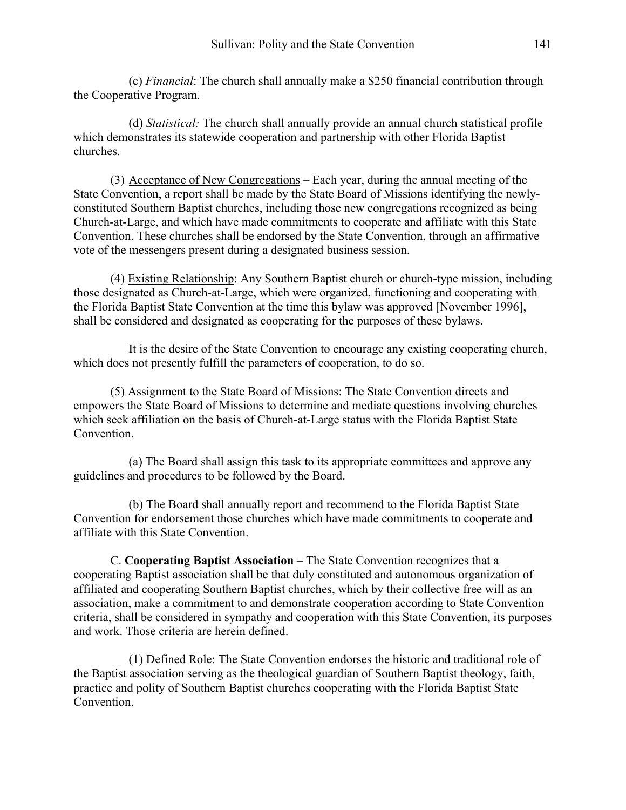(c) *Financial*: The church shall annually make a \$250 financial contribution through the Cooperative Program.

 (d) *Statistical:* The church shall annually provide an annual church statistical profile which demonstrates its statewide cooperation and partnership with other Florida Baptist churches.

 (3) Acceptance of New Congregations – Each year, during the annual meeting of the State Convention, a report shall be made by the State Board of Missions identifying the newlyconstituted Southern Baptist churches, including those new congregations recognized as being Church-at-Large, and which have made commitments to cooperate and affiliate with this State Convention. These churches shall be endorsed by the State Convention, through an affirmative vote of the messengers present during a designated business session.

 (4) Existing Relationship: Any Southern Baptist church or church-type mission, including those designated as Church-at-Large, which were organized, functioning and cooperating with the Florida Baptist State Convention at the time this bylaw was approved [November 1996], shall be considered and designated as cooperating for the purposes of these bylaws.

 It is the desire of the State Convention to encourage any existing cooperating church, which does not presently fulfill the parameters of cooperation, to do so.

 (5) Assignment to the State Board of Missions: The State Convention directs and empowers the State Board of Missions to determine and mediate questions involving churches which seek affiliation on the basis of Church-at-Large status with the Florida Baptist State Convention.

 (a) The Board shall assign this task to its appropriate committees and approve any guidelines and procedures to be followed by the Board.

 (b) The Board shall annually report and recommend to the Florida Baptist State Convention for endorsement those churches which have made commitments to cooperate and affiliate with this State Convention.

 C. **Cooperating Baptist Association** – The State Convention recognizes that a cooperating Baptist association shall be that duly constituted and autonomous organization of affiliated and cooperating Southern Baptist churches, which by their collective free will as an association, make a commitment to and demonstrate cooperation according to State Convention criteria, shall be considered in sympathy and cooperation with this State Convention, its purposes and work. Those criteria are herein defined.

 (1) Defined Role: The State Convention endorses the historic and traditional role of the Baptist association serving as the theological guardian of Southern Baptist theology, faith, practice and polity of Southern Baptist churches cooperating with the Florida Baptist State Convention.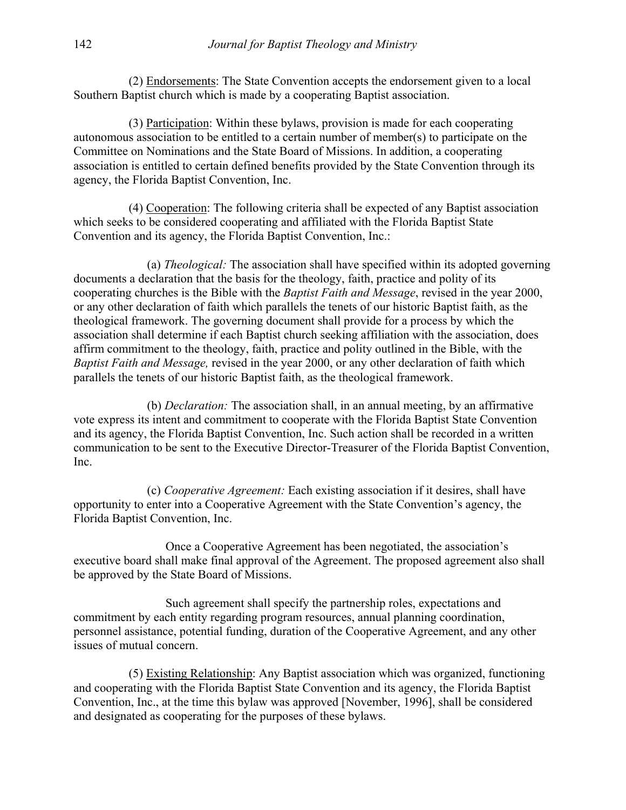(2) Endorsements: The State Convention accepts the endorsement given to a local Southern Baptist church which is made by a cooperating Baptist association.

 (3) Participation: Within these bylaws, provision is made for each cooperating autonomous association to be entitled to a certain number of member(s) to participate on the Committee on Nominations and the State Board of Missions. In addition, a cooperating association is entitled to certain defined benefits provided by the State Convention through its agency, the Florida Baptist Convention, Inc.

 (4) Cooperation: The following criteria shall be expected of any Baptist association which seeks to be considered cooperating and affiliated with the Florida Baptist State Convention and its agency, the Florida Baptist Convention, Inc.:

 (a) *Theological:* The association shall have specified within its adopted governing documents a declaration that the basis for the theology, faith, practice and polity of its cooperating churches is the Bible with the *Baptist Faith and Message*, revised in the year 2000, or any other declaration of faith which parallels the tenets of our historic Baptist faith, as the theological framework. The governing document shall provide for a process by which the association shall determine if each Baptist church seeking affiliation with the association, does affirm commitment to the theology, faith, practice and polity outlined in the Bible, with the *Baptist Faith and Message,* revised in the year 2000, or any other declaration of faith which parallels the tenets of our historic Baptist faith, as the theological framework.

 (b) *Declaration:* The association shall, in an annual meeting, by an affirmative vote express its intent and commitment to cooperate with the Florida Baptist State Convention and its agency, the Florida Baptist Convention, Inc. Such action shall be recorded in a written communication to be sent to the Executive Director-Treasurer of the Florida Baptist Convention, Inc.

 (c) *Cooperative Agreement:* Each existing association if it desires, shall have opportunity to enter into a Cooperative Agreement with the State Convention's agency, the Florida Baptist Convention, Inc.

 Once a Cooperative Agreement has been negotiated, the association's executive board shall make final approval of the Agreement. The proposed agreement also shall be approved by the State Board of Missions.

 Such agreement shall specify the partnership roles, expectations and commitment by each entity regarding program resources, annual planning coordination, personnel assistance, potential funding, duration of the Cooperative Agreement, and any other issues of mutual concern.

 (5) Existing Relationship: Any Baptist association which was organized, functioning and cooperating with the Florida Baptist State Convention and its agency, the Florida Baptist Convention, Inc., at the time this bylaw was approved [November, 1996], shall be considered and designated as cooperating for the purposes of these bylaws.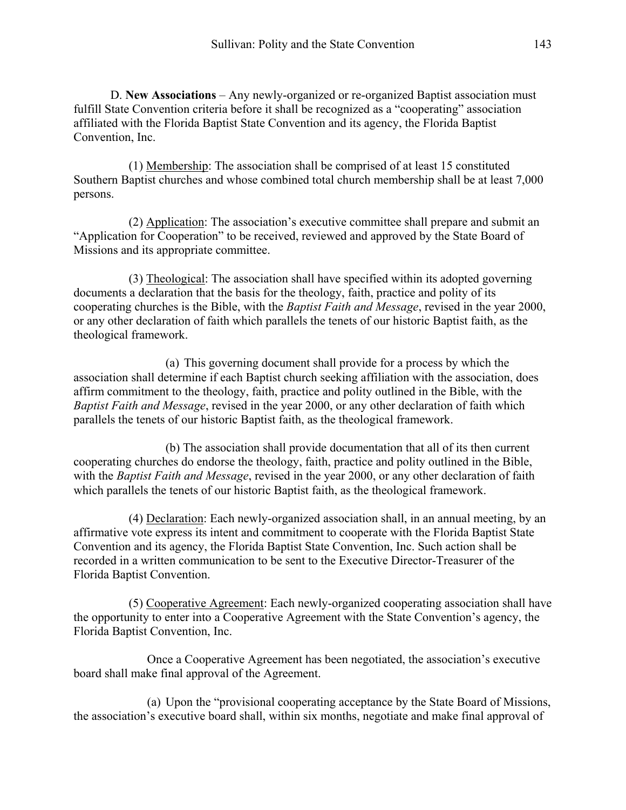D. **New Associations** – Any newly-organized or re-organized Baptist association must fulfill State Convention criteria before it shall be recognized as a "cooperating" association affiliated with the Florida Baptist State Convention and its agency, the Florida Baptist Convention, Inc.

 (1) Membership: The association shall be comprised of at least 15 constituted Southern Baptist churches and whose combined total church membership shall be at least 7,000 persons.

 (2) Application: The association's executive committee shall prepare and submit an "Application for Cooperation" to be received, reviewed and approved by the State Board of Missions and its appropriate committee.

 (3) Theological: The association shall have specified within its adopted governing documents a declaration that the basis for the theology, faith, practice and polity of its cooperating churches is the Bible, with the *Baptist Faith and Message*, revised in the year 2000, or any other declaration of faith which parallels the tenets of our historic Baptist faith, as the theological framework.

 (a) This governing document shall provide for a process by which the association shall determine if each Baptist church seeking affiliation with the association, does affirm commitment to the theology, faith, practice and polity outlined in the Bible, with the *Baptist Faith and Message*, revised in the year 2000, or any other declaration of faith which parallels the tenets of our historic Baptist faith, as the theological framework.

 (b) The association shall provide documentation that all of its then current cooperating churches do endorse the theology, faith, practice and polity outlined in the Bible, with the *Baptist Faith and Message*, revised in the year 2000, or any other declaration of faith which parallels the tenets of our historic Baptist faith, as the theological framework.

 (4) Declaration: Each newly-organized association shall, in an annual meeting, by an affirmative vote express its intent and commitment to cooperate with the Florida Baptist State Convention and its agency, the Florida Baptist State Convention, Inc. Such action shall be recorded in a written communication to be sent to the Executive Director-Treasurer of the Florida Baptist Convention.

 (5) Cooperative Agreement: Each newly-organized cooperating association shall have the opportunity to enter into a Cooperative Agreement with the State Convention's agency, the Florida Baptist Convention, Inc.

 Once a Cooperative Agreement has been negotiated, the association's executive board shall make final approval of the Agreement.

 (a) Upon the "provisional cooperating acceptance by the State Board of Missions, the association's executive board shall, within six months, negotiate and make final approval of